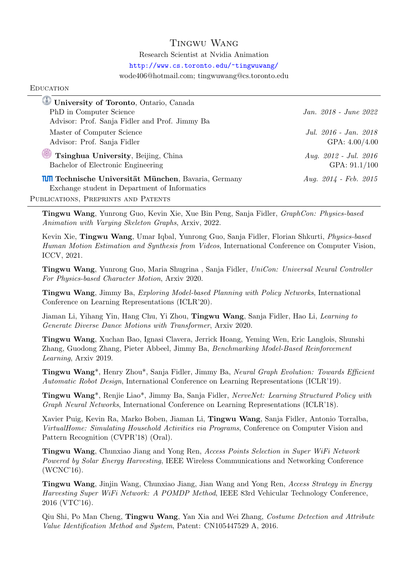## Tingwu Wang

Research Scientist at Nvidia Animation

<http://www.cs.toronto.edu/~tingwuwang/>

wode406@hotmail.com; tingwuwang@cs.toronto.edu

## **EDUCATION**

| University of Toronto, Ontario, Canada                       |                           |
|--------------------------------------------------------------|---------------------------|
| PhD in Computer Science                                      | Jan. 2018 - June 2022     |
| Advisor: Prof. Sanja Fidler and Prof. Jimmy Ba               |                           |
| Master of Computer Science                                   | Jul. 2016 - Jan. 2018     |
| Advisor: Prof. Sanja Fidler                                  | GPA: $4.00/4.00$          |
| Tsinghua University, Beijing, China                          | Aug. $2012$ - Jul. $2016$ |
| Bachelor of Electronic Engineering                           | GPA: $91.1/100$           |
| <b>IIII</b> Technische Universität München, Bavaria, Germany | Aug. $2014$ - Feb. $2015$ |
| Exchange student in Department of Informatics                |                           |
| PUBLICATIONS, PREPRINTS AND PATENTS                          |                           |

Tingwu Wang, Yunrong Guo, Kevin Xie, Xue Bin Peng, Sanja Fidler, GraphCon: Physics-based Animation with Varying Skeleton Graphs, Arxiv, 2022.

Kevin Xie, Tingwu Wang, Umar Iqbal, Yunrong Guo, Sanja Fidler, Florian Shkurti, Physics-based Human Motion Estimation and Synthesis from Videos, International Conference on Computer Vision, ICCV, 2021.

Tingwu Wang, Yunrong Guo, Maria Shugrina , Sanja Fidler, UniCon: Universal Neural Controller For Physics-based Character Motion, Arxiv 2020.

Tingwu Wang, Jimmy Ba, Exploring Model-based Planning with Policy Networks, International Conference on Learning Representations (ICLR'20).

Jiaman Li, Yihang Yin, Hang Chu, Yi Zhou, Tingwu Wang, Sanja Fidler, Hao Li, Learning to Generate Diverse Dance Motions with Transformer, Arxiv 2020.

Tingwu Wang, Xuchan Bao, Ignasi Clavera, Jerrick Hoang, Yeming Wen, Eric Langlois, Shunshi Zhang, Guodong Zhang, Pieter Abbeel, Jimmy Ba, Benchmarking Model-Based Reinforcement Learning, Arxiv 2019.

Tingwu Wang\*, Henry Zhou\*, Sanja Fidler, Jimmy Ba, Neural Graph Evolution: Towards Efficient Automatic Robot Design, International Conference on Learning Representations (ICLR'19).

Tingwu Wang\*, Renjie Liao\*, Jimmy Ba, Sanja Fidler, NerveNet: Learning Structured Policy with Graph Neural Networks, International Conference on Learning Representations (ICLR'18).

Xavier Puig, Kevin Ra, Marko Boben, Jiaman Li, Tingwu Wang, Sanja Fidler, Antonio Torralba, VirtualHome: Simulating Household Activities via Programs, Conference on Computer Vision and Pattern Recognition (CVPR'18) (Oral).

Tingwu Wang, Chunxiao Jiang and Yong Ren, Access Points Selection in Super WiFi Network Powered by Solar Energy Harvesting, IEEE Wireless Communications and Networking Conference (WCNC'16).

Tingwu Wang, Jinjin Wang, Chunxiao Jiang, Jian Wang and Yong Ren, Access Strategy in Energy Harvesting Super WiFi Network: A POMDP Method, IEEE 83rd Vehicular Technology Conference, 2016 (VTC'16).

Qiu Shi, Po Man Cheng, Tingwu Wang, Yan Xia and Wei Zhang, Costume Detection and Attribute Value Identification Method and System, Patent: CN105447529 A, 2016.